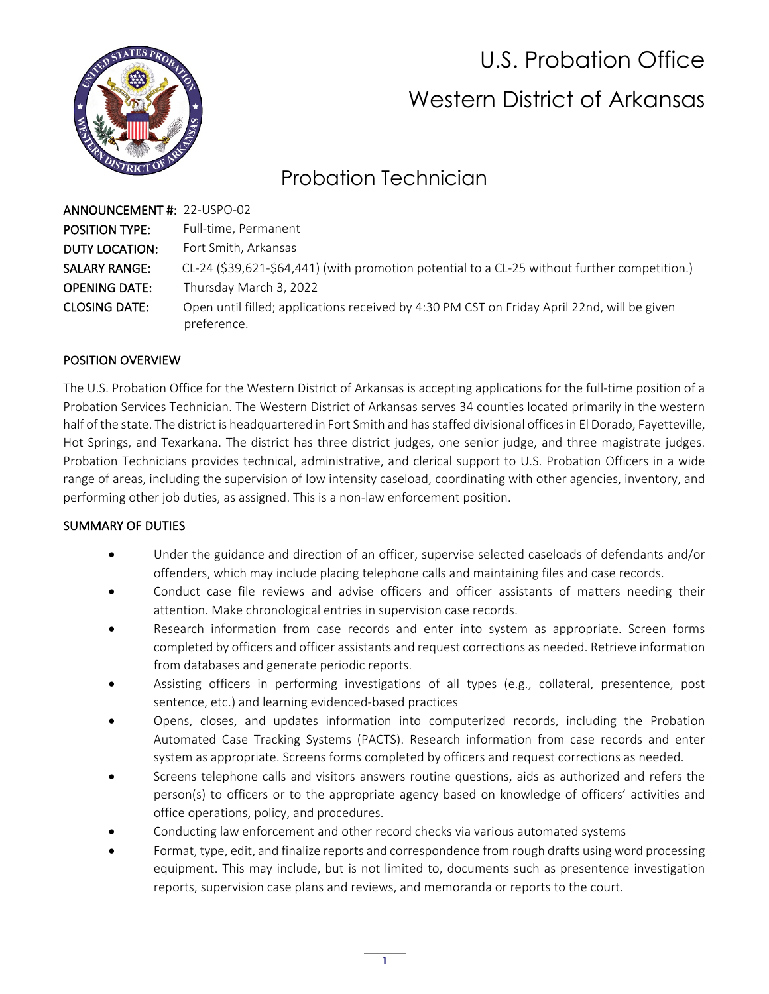

# U.S. Probation Office Western District of Arkansas

# Probation Technician

| ANNOUNCEMENT#: 22-USPO-02 |                                                                                                            |
|---------------------------|------------------------------------------------------------------------------------------------------------|
| <b>POSITION TYPE:</b>     | Full-time, Permanent                                                                                       |
| <b>DUTY LOCATION:</b>     | Fort Smith, Arkansas                                                                                       |
| <b>SALARY RANGE:</b>      | CL-24 (\$39,621-\$64,441) (with promotion potential to a CL-25 without further competition.)               |
| <b>OPENING DATE:</b>      | Thursday March 3, 2022                                                                                     |
| <b>CLOSING DATE:</b>      | Open until filled; applications received by 4:30 PM CST on Friday April 22nd, will be given<br>preference. |

# POSITION OVERVIEW

The U.S. Probation Office for the Western District of Arkansas is accepting applications for the full-time position of a Probation Services Technician. The Western District of Arkansas serves 34 counties located primarily in the western half of the state. The district is headquartered in Fort Smith and has staffed divisional offices in El Dorado, Fayetteville, Hot Springs, and Texarkana. The district has three district judges, one senior judge, and three magistrate judges. Probation Technicians provides technical, administrative, and clerical support to U.S. Probation Officers in a wide range of areas, including the supervision of low intensity caseload, coordinating with other agencies, inventory, and performing other job duties, as assigned. This is a non-law enforcement position.

### SUMMARY OF DUTIES

- Under the guidance and direction of an officer, supervise selected caseloads of defendants and/or offenders, which may include placing telephone calls and maintaining files and case records.
- Conduct case file reviews and advise officers and officer assistants of matters needing their attention. Make chronological entries in supervision case records.
- Research information from case records and enter into system as appropriate. Screen forms completed by officers and officer assistants and request corrections as needed. Retrieve information from databases and generate periodic reports.
- Assisting officers in performing investigations of all types (e.g., collateral, presentence, post sentence, etc.) and learning evidenced-based practices
- Opens, closes, and updates information into computerized records, including the Probation Automated Case Tracking Systems (PACTS). Research information from case records and enter system as appropriate. Screens forms completed by officers and request corrections as needed.
- Screens telephone calls and visitors answers routine questions, aids as authorized and refers the person(s) to officers or to the appropriate agency based on knowledge of officers' activities and office operations, policy, and procedures.
- Conducting law enforcement and other record checks via various automated systems
- Format, type, edit, and finalize reports and correspondence from rough drafts using word processing equipment. This may include, but is not limited to, documents such as presentence investigation reports, supervision case plans and reviews, and memoranda or reports to the court.

**1**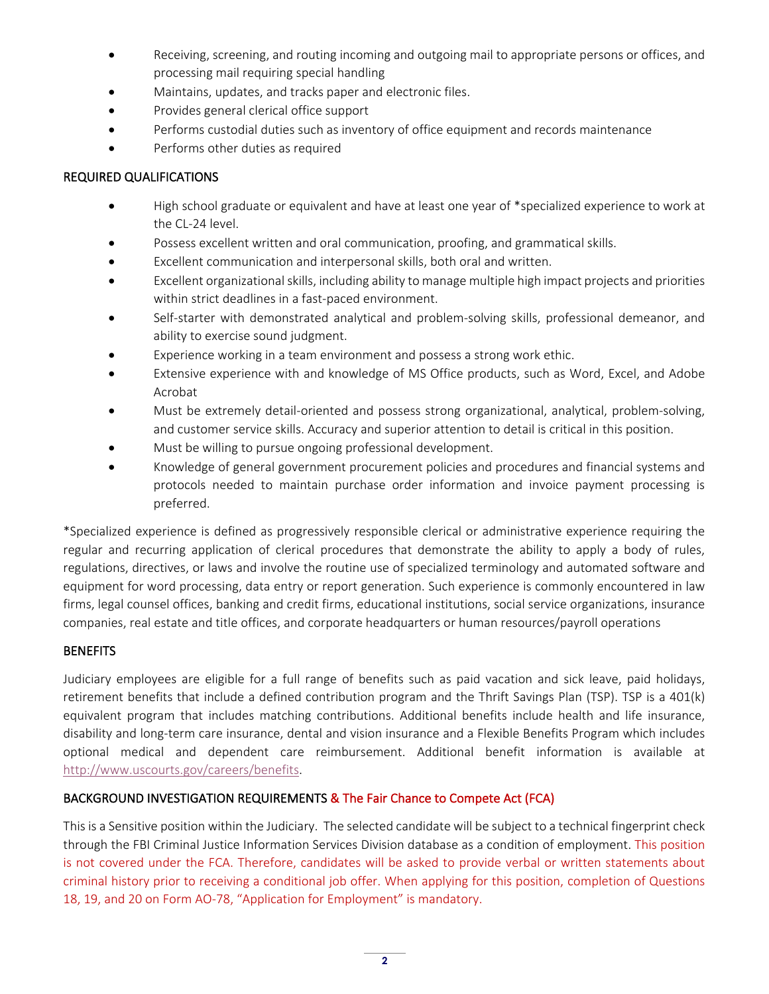- Receiving, screening, and routing incoming and outgoing mail to appropriate persons or offices, and processing mail requiring special handling
- Maintains, updates, and tracks paper and electronic files.
- Provides general clerical office support
- Performs custodial duties such as inventory of office equipment and records maintenance
- Performs other duties as required

### REQUIRED QUALIFICATIONS

- High school graduate or equivalent and have at least one year of \*specialized experience to work at the CL-24 level.
- Possess excellent written and oral communication, proofing, and grammatical skills.
- Excellent communication and interpersonal skills, both oral and written.
- Excellent organizational skills, including ability to manage multiple high impact projects and priorities within strict deadlines in a fast-paced environment.
- Self-starter with demonstrated analytical and problem-solving skills, professional demeanor, and ability to exercise sound judgment.
- Experience working in a team environment and possess a strong work ethic.
- Extensive experience with and knowledge of MS Office products, such as Word, Excel, and Adobe Acrobat
- Must be extremely detail-oriented and possess strong organizational, analytical, problem-solving, and customer service skills. Accuracy and superior attention to detail is critical in this position.
- Must be willing to pursue ongoing professional development.
- Knowledge of general government procurement policies and procedures and financial systems and protocols needed to maintain purchase order information and invoice payment processing is preferred.

\*Specialized experience is defined as progressively responsible clerical or administrative experience requiring the regular and recurring application of clerical procedures that demonstrate the ability to apply a body of rules, regulations, directives, or laws and involve the routine use of specialized terminology and automated software and equipment for word processing, data entry or report generation. Such experience is commonly encountered in law firms, legal counsel offices, banking and credit firms, educational institutions, social service organizations, insurance companies, real estate and title offices, and corporate headquarters or human resources/payroll operations

### **BENEFITS**

Judiciary employees are eligible for a full range of benefits such as paid vacation and sick leave, paid holidays, retirement benefits that include a defined contribution program and the Thrift Savings Plan (TSP). TSP is a 401(k) equivalent program that includes matching contributions. Additional benefits include health and life insurance, disability and long-term care insurance, dental and vision insurance and a Flexible Benefits Program which includes optional medical and dependent care reimbursement. Additional benefit information is available at [http://www.uscourts.gov/careers/benefits.](http://www.uscourts.gov/careers/benefits) 

# BACKGROUND INVESTIGATION REQUIREMENTS & The Fair Chance to Compete Act (FCA)

This is a Sensitive position within the Judiciary. The selected candidate will be subject to a technical fingerprint check through the FBI Criminal Justice Information Services Division database as a condition of employment. This position is not covered under the FCA. Therefore, candidates will be asked to provide verbal or written statements about criminal history prior to receiving a conditional job offer. When applying for this position, completion of Questions 18, 19, and 20 on Form AO-78, "Application for Employment" is mandatory.